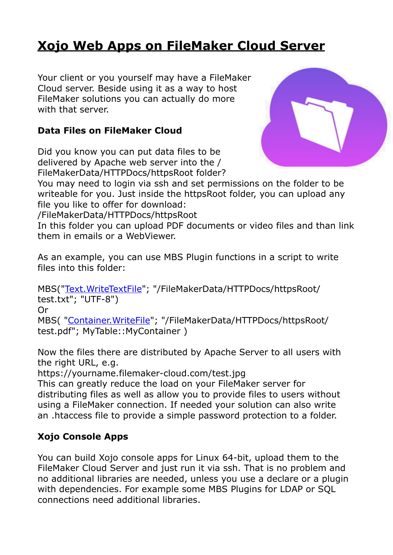# **[Xojo Web Apps on FileMaker Cloud Server](https://www.mbs-plugins.com/archive/2017-11-22/Xojo_Web_Apps_on_FileMaker_Clo/monkeybreadsoftware_blog_filemaker)**

Your client or you yourself may have a FileMaker Cloud server. Beside using it as a way to host FileMaker solutions you can actually do more with that server.

#### **Data Files on FileMaker Cloud**

Did you know you can put data files to be delivered by Apache web server into the / FileMakerData/HTTPDocs/httpsRoot folder?



You may need to login via ssh and set permissions on the folder to be writeable for you. Just inside the httpsRoot folder, you can upload any file you like to offer for download:

/FileMakerData/HTTPDocs/httpsRoot

In this folder you can upload PDF documents or video files and than link them in emails or a WebViewer.

As an example, you can use MBS Plugin functions in a script to write files into this folder:

MBS(["Text.WriteTextFile](http://www.mbsplugins.eu/TextWriteTextFile.shtml)"; "/FileMakerData/HTTPDocs/httpsRoot/ test.txt"; "UTF-8") Or

MBS( "[Container.WriteFile](http://www.mbsplugins.eu/ContainerWriteFile.shtml)"; "/FileMakerData/HTTPDocs/httpsRoot/ test.pdf"; MyTable::MyContainer )

Now the files there are distributed by Apache Server to all users with the right URL, e.g.

https://yourname.filemaker-cloud.com/test.jpg

This can greatly reduce the load on your FileMaker server for distributing files as well as allow you to provide files to users without using a FileMaker connection. If needed your solution can also write an .htaccess file to provide a simple password protection to a folder.

### **Xojo Console Apps**

You can build Xojo console apps for Linux 64-bit, upload them to the FileMaker Cloud Server and just run it via ssh. That is no problem and no additional libraries are needed, unless you use a declare or a plugin with dependencies. For example some MBS Plugins for LDAP or SQL connections need additional libraries.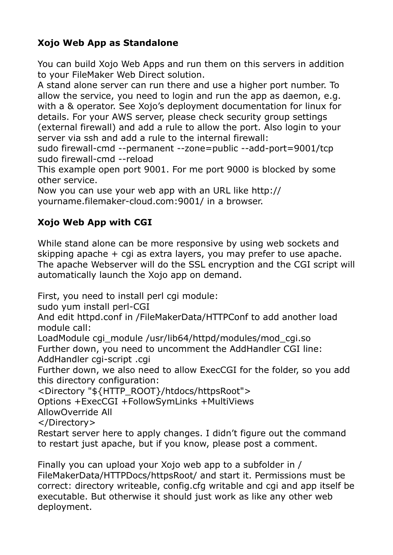## **Xojo Web App as Standalone**

You can build Xojo Web Apps and run them on this servers in addition to your FileMaker Web Direct solution.

A stand alone server can run there and use a higher port number. To allow the service, you need to login and run the app as daemon, e.g. with a & operator. See Xojo's deployment documentation for linux for details. For your AWS server, please check security group settings (external firewall) and add a rule to allow the port. Also login to your server via ssh and add a rule to the internal firewall:

sudo firewall-cmd --permanent --zone=public --add-port=9001/tcp sudo firewall-cmd --reload

This example open port 9001. For me port 9000 is blocked by some other service.

Now you can use your web app with an URL like http:// yourname.filemaker-cloud.com:9001/ in a browser.

## **Xojo Web App with CGI**

While stand alone can be more responsive by using web sockets and skipping apache + cgi as extra layers, you may prefer to use apache. The apache Webserver will do the SSL encryption and the CGI script will automatically launch the Xojo app on demand.

First, you need to install perl cgi module:

sudo yum install perl-CGI

And edit httpd.conf in /FileMakerData/HTTPConf to add another load module call:

LoadModule cgi\_module /usr/lib64/httpd/modules/mod\_cgi.so Further down, you need to uncomment the AddHandler CGI line:

AddHandler cgi-script .cgi

Further down, we also need to allow ExecCGI for the folder, so you add this directory configuration:

<Directory "\${HTTP\_ROOT}/htdocs/httpsRoot">

Options +ExecCGI +FollowSymLinks +MultiViews

AllowOverride All

</Directory>

Restart server here to apply changes. I didn't figure out the command to restart just apache, but if you know, please post a comment.

Finally you can upload your Xojo web app to a subfolder in / FileMakerData/HTTPDocs/httpsRoot/ and start it. Permissions must be correct: directory writeable, config.cfg writable and cgi and app itself be executable. But otherwise it should just work as like any other web deployment.